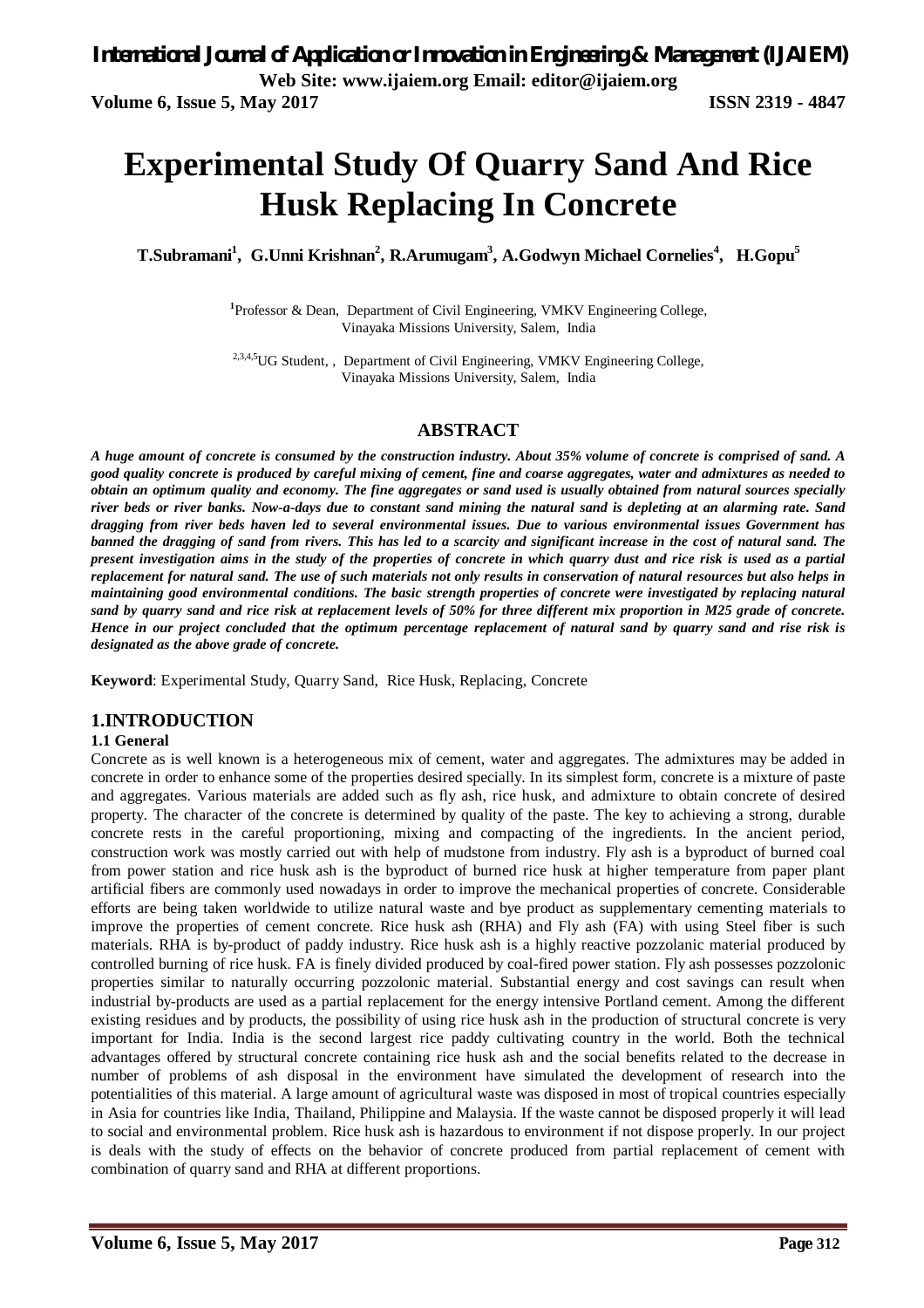# **Experimental Study Of Quarry Sand And Rice Husk Replacing In Concrete**

**T.Subramani<sup>1</sup> , G.Unni Krishnan<sup>2</sup> , R.Arumugam<sup>3</sup> , A.Godwyn Michael Cornelies<sup>4</sup> , H.Gopu<sup>5</sup>**

<sup>1</sup>Professor & Dean, Department of Civil Engineering, VMKV Engineering College, Vinayaka Missions University, Salem, India

<sup>2,3,4,5</sup>UG Student,, Department of Civil Engineering, VMKV Engineering College, Vinayaka Missions University, Salem, India

#### **ABSTRACT**

*A huge amount of concrete is consumed by the construction industry. About 35% volume of concrete is comprised of sand. A good quality concrete is produced by careful mixing of cement, fine and coarse aggregates, water and admixtures as needed to obtain an optimum quality and economy. The fine aggregates or sand used is usually obtained from natural sources specially river beds or river banks. Now-a-days due to constant sand mining the natural sand is depleting at an alarming rate. Sand dragging from river beds haven led to several environmental issues. Due to various environmental issues Government has banned the dragging of sand from rivers. This has led to a scarcity and significant increase in the cost of natural sand. The present investigation aims in the study of the properties of concrete in which quarry dust and rice risk is used as a partial replacement for natural sand. The use of such materials not only results in conservation of natural resources but also helps in maintaining good environmental conditions. The basic strength properties of concrete were investigated by replacing natural sand by quarry sand and rice risk at replacement levels of 50% for three different mix proportion in M25 grade of concrete. Hence in our project concluded that the optimum percentage replacement of natural sand by quarry sand and rise risk is designated as the above grade of concrete.*

**Keyword**: Experimental Study, Quarry Sand, Rice Husk, Replacing, Concrete

#### **1.INTRODUCTION**

#### **1.1 General**

Concrete as is well known is a heterogeneous mix of cement, water and aggregates. The admixtures may be added in concrete in order to enhance some of the properties desired specially. In its simplest form, concrete is a mixture of paste and aggregates. Various materials are added such as fly ash, rice husk, and admixture to obtain concrete of desired property. The character of the concrete is determined by quality of the paste. The key to achieving a strong, durable concrete rests in the careful proportioning, mixing and compacting of the ingredients. In the ancient period, construction work was mostly carried out with help of mudstone from industry. Fly ash is a byproduct of burned coal from power station and rice husk ash is the byproduct of burned rice husk at higher temperature from paper plant artificial fibers are commonly used nowadays in order to improve the mechanical properties of concrete. Considerable efforts are being taken worldwide to utilize natural waste and bye product as supplementary cementing materials to improve the properties of cement concrete. Rice husk ash (RHA) and Fly ash (FA) with using Steel fiber is such materials. RHA is by-product of paddy industry. Rice husk ash is a highly reactive pozzolanic material produced by controlled burning of rice husk. FA is finely divided produced by coal-fired power station. Fly ash possesses pozzolonic properties similar to naturally occurring pozzolonic material. Substantial energy and cost savings can result when industrial by-products are used as a partial replacement for the energy intensive Portland cement. Among the different existing residues and by products, the possibility of using rice husk ash in the production of structural concrete is very important for India. India is the second largest rice paddy cultivating country in the world. Both the technical advantages offered by structural concrete containing rice husk ash and the social benefits related to the decrease in number of problems of ash disposal in the environment have simulated the development of research into the potentialities of this material. A large amount of agricultural waste was disposed in most of tropical countries especially in Asia for countries like India, Thailand, Philippine and Malaysia. If the waste cannot be disposed properly it will lead to social and environmental problem. Rice husk ash is hazardous to environment if not dispose properly. In our project is deals with the study of effects on the behavior of concrete produced from partial replacement of cement with combination of quarry sand and RHA at different proportions.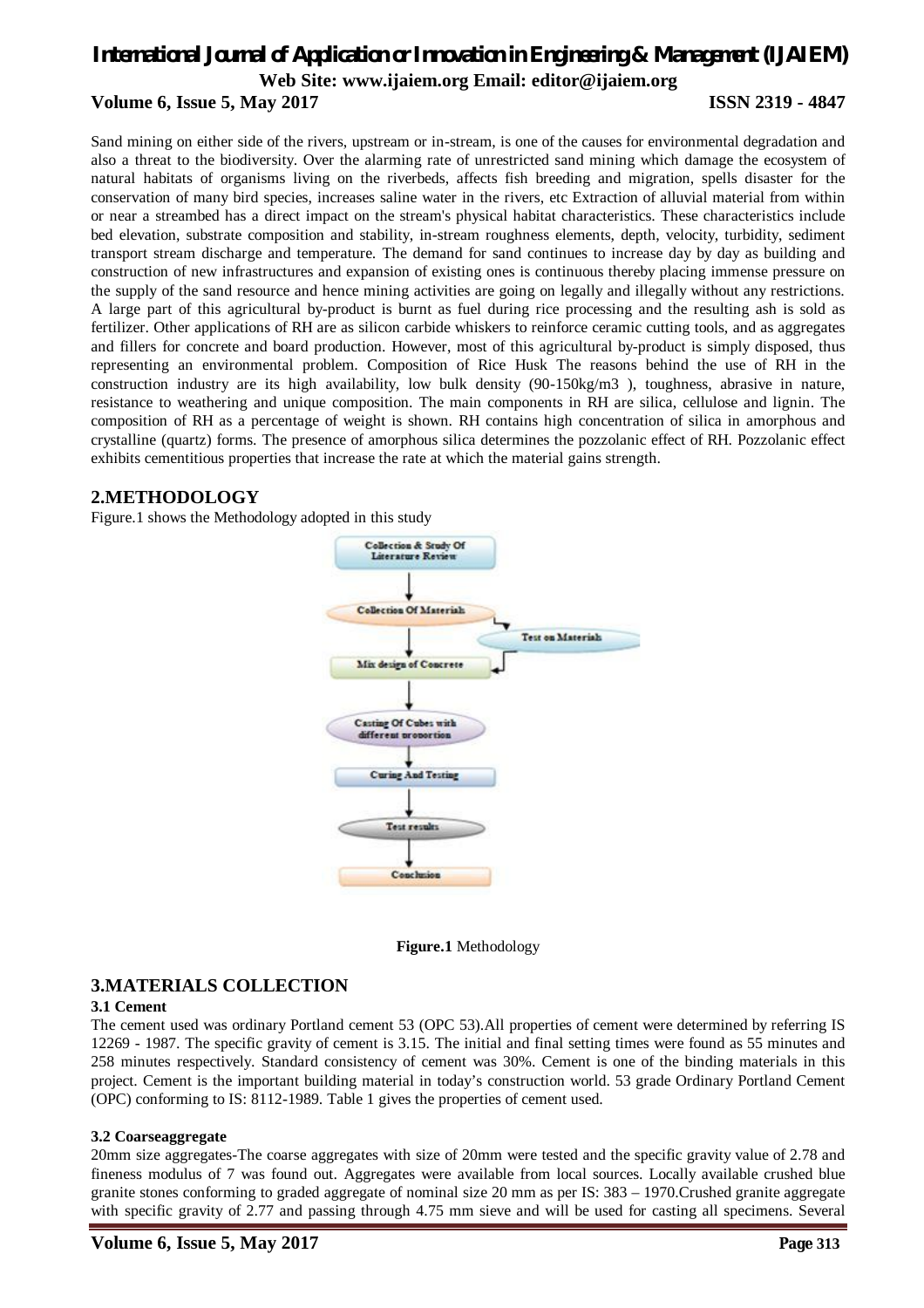#### **Volume 6, Issue 5, May 2017 ISSN 2319 - 4847**

Sand mining on either side of the rivers, upstream or in-stream, is one of the causes for environmental degradation and also a threat to the biodiversity. Over the alarming rate of unrestricted sand mining which damage the ecosystem of natural habitats of organisms living on the riverbeds, affects fish breeding and migration, spells disaster for the conservation of many bird species, increases saline water in the rivers, etc Extraction of alluvial material from within or near a streambed has a direct impact on the stream's physical habitat characteristics. These characteristics include bed elevation, substrate composition and stability, in-stream roughness elements, depth, velocity, turbidity, sediment transport stream discharge and temperature. The demand for sand continues to increase day by day as building and construction of new infrastructures and expansion of existing ones is continuous thereby placing immense pressure on the supply of the sand resource and hence mining activities are going on legally and illegally without any restrictions. A large part of this agricultural by-product is burnt as fuel during rice processing and the resulting ash is sold as fertilizer. Other applications of RH are as silicon carbide whiskers to reinforce ceramic cutting tools, and as aggregates and fillers for concrete and board production. However, most of this agricultural by-product is simply disposed, thus representing an environmental problem. Composition of Rice Husk The reasons behind the use of RH in the construction industry are its high availability, low bulk density (90-150kg/m3 ), toughness, abrasive in nature, resistance to weathering and unique composition. The main components in RH are silica, cellulose and lignin. The composition of RH as a percentage of weight is shown. RH contains high concentration of silica in amorphous and crystalline (quartz) forms. The presence of amorphous silica determines the pozzolanic effect of RH. Pozzolanic effect exhibits cementitious properties that increase the rate at which the material gains strength.

#### **2.METHODOLOGY**

Figure.1 shows the Methodology adopted in this study



**Figure.1** Methodology

### **3.MATERIALS COLLECTION**

#### **3.1 Cement**

The cement used was ordinary Portland cement 53 (OPC 53).All properties of cement were determined by referring IS 12269 - 1987. The specific gravity of cement is 3.15. The initial and final setting times were found as 55 minutes and 258 minutes respectively. Standard consistency of cement was 30%. Cement is one of the binding materials in this project. Cement is the important building material in today's construction world. 53 grade Ordinary Portland Cement (OPC) conforming to IS: 8112-1989. Table 1 gives the properties of cement used.

#### **3.2 Coarseaggregate**

20mm size aggregates-The coarse aggregates with size of 20mm were tested and the specific gravity value of 2.78 and fineness modulus of 7 was found out. Aggregates were available from local sources. Locally available crushed blue granite stones conforming to graded aggregate of nominal size 20 mm as per IS: 383 – 1970.Crushed granite aggregate with specific gravity of 2.77 and passing through 4.75 mm sieve and will be used for casting all specimens. Several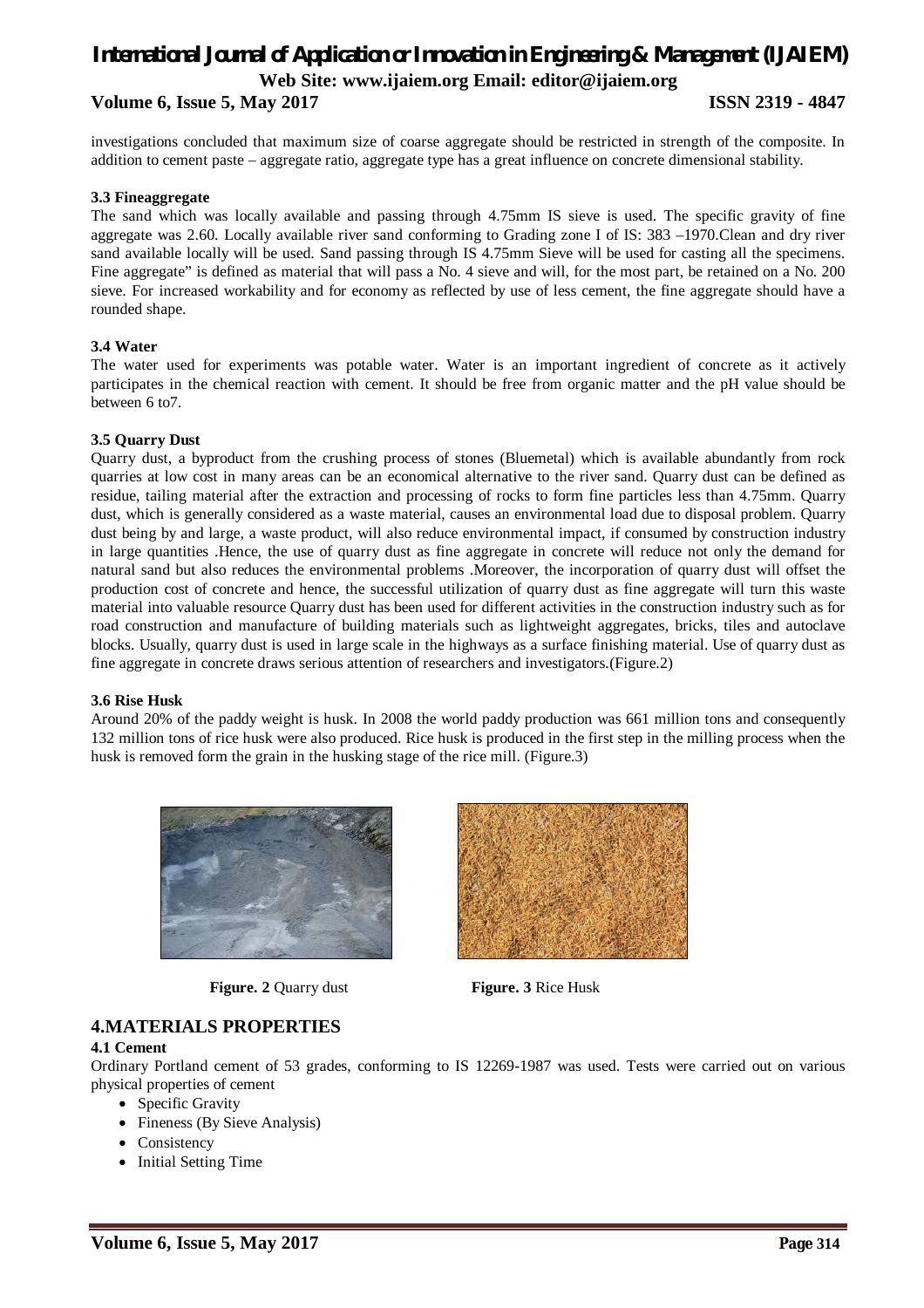#### **Volume 6, Issue 5, May 2017 ISSN 2319 - 4847**

investigations concluded that maximum size of coarse aggregate should be restricted in strength of the composite. In addition to cement paste – aggregate ratio, aggregate type has a great influence on concrete dimensional stability.

#### **3.3 Fineaggregate**

The sand which was locally available and passing through 4.75mm IS sieve is used. The specific gravity of fine aggregate was 2.60. Locally available river sand conforming to Grading zone I of IS: 383 –1970.Clean and dry river sand available locally will be used. Sand passing through IS 4.75mm Sieve will be used for casting all the specimens. Fine aggregate" is defined as material that will pass a No. 4 sieve and will, for the most part, be retained on a No. 200 sieve. For increased workability and for economy as reflected by use of less cement, the fine aggregate should have a rounded shape.

#### **3.4 Water**

The water used for experiments was potable water. Water is an important ingredient of concrete as it actively participates in the chemical reaction with cement. It should be free from organic matter and the pH value should be between 6 to7.

#### **3.5 Quarry Dust**

Quarry dust, a byproduct from the crushing process of stones (Bluemetal) which is available abundantly from rock quarries at low cost in many areas can be an economical alternative to the river sand. Quarry dust can be defined as residue, tailing material after the extraction and processing of rocks to form fine particles less than 4.75mm. Quarry dust, which is generally considered as a waste material, causes an environmental load due to disposal problem. Quarry dust being by and large, a waste product, will also reduce environmental impact, if consumed by construction industry in large quantities .Hence, the use of quarry dust as fine aggregate in concrete will reduce not only the demand for natural sand but also reduces the environmental problems .Moreover, the incorporation of quarry dust will offset the production cost of concrete and hence, the successful utilization of quarry dust as fine aggregate will turn this waste material into valuable resource Quarry dust has been used for different activities in the construction industry such as for road construction and manufacture of building materials such as lightweight aggregates, bricks, tiles and autoclave blocks. Usually, quarry dust is used in large scale in the highways as a surface finishing material. Use of quarry dust as fine aggregate in concrete draws serious attention of researchers and investigators.(Figure.2)

#### **3.6 Rise Husk**

Around 20% of the paddy weight is husk. In 2008 the world paddy production was 661 million tons and consequently 132 million tons of rice husk were also produced. Rice husk is produced in the first step in the milling process when the husk is removed form the grain in the husking stage of the rice mill. (Figure.3)



 **Figure. 2** Quarry dust **Figure. 3** Rice Husk



### **4.MATERIALS PROPERTIES**

#### **4.1 Cement**

Ordinary Portland cement of 53 grades, conforming to IS 12269-1987 was used. Tests were carried out on various physical properties of cement

- Specific Gravity
- Fineness (By Sieve Analysis)
- Consistency
- Initial Setting Time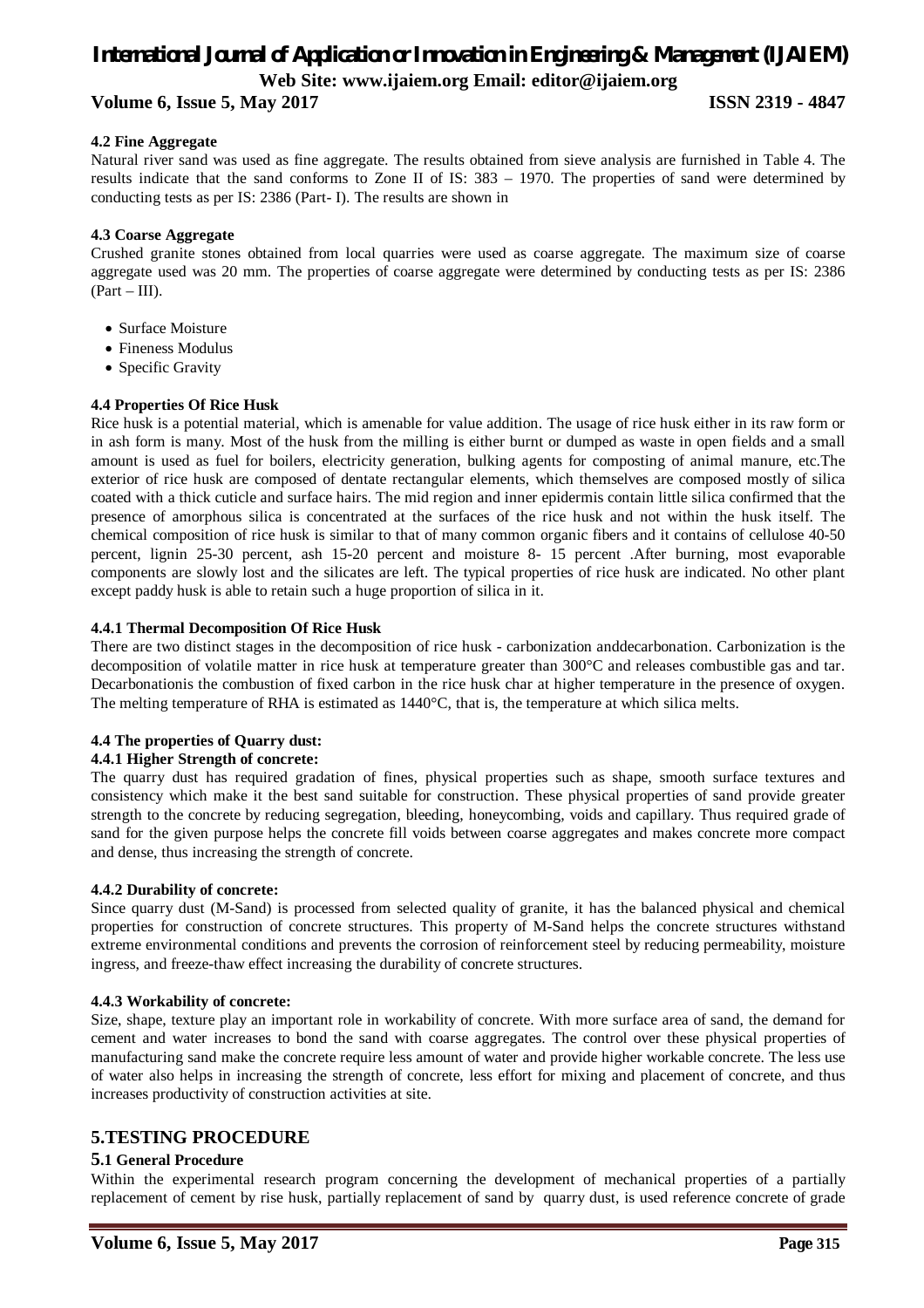#### **Volume 6, Issue 5, May 2017 ISSN 2319 - 4847**

### **4.2 Fine Aggregate**

Natural river sand was used as fine aggregate. The results obtained from sieve analysis are furnished in Table 4. The results indicate that the sand conforms to Zone II of IS: 383 – 1970. The properties of sand were determined by conducting tests as per IS: 2386 (Part- I). The results are shown in

#### **4.3 Coarse Aggregate**

Crushed granite stones obtained from local quarries were used as coarse aggregate. The maximum size of coarse aggregate used was 20 mm. The properties of coarse aggregate were determined by conducting tests as per IS: 2386  $(Part - III)$ .

- Surface Moisture
- Fineness Modulus
- Specific Gravity

#### **4.4 Properties Of Rice Husk**

Rice husk is a potential material, which is amenable for value addition. The usage of rice husk either in its raw form or in ash form is many. Most of the husk from the milling is either burnt or dumped as waste in open fields and a small amount is used as fuel for boilers, electricity generation, bulking agents for composting of animal manure, etc.The exterior of rice husk are composed of dentate rectangular elements, which themselves are composed mostly of silica coated with a thick cuticle and surface hairs. The mid region and inner epidermis contain little silica confirmed that the presence of amorphous silica is concentrated at the surfaces of the rice husk and not within the husk itself. The chemical composition of rice husk is similar to that of many common organic fibers and it contains of cellulose 40-50 percent, lignin 25-30 percent, ash 15-20 percent and moisture 8- 15 percent .After burning, most evaporable components are slowly lost and the silicates are left. The typical properties of rice husk are indicated. No other plant except paddy husk is able to retain such a huge proportion of silica in it.

#### **4.4.1 Thermal Decomposition Of Rice Husk**

There are two distinct stages in the decomposition of rice husk - carbonization anddecarbonation. Carbonization is the decomposition of volatile matter in rice husk at temperature greater than 300°C and releases combustible gas and tar. Decarbonationis the combustion of fixed carbon in the rice husk char at higher temperature in the presence of oxygen. The melting temperature of RHA is estimated as 1440°C, that is, the temperature at which silica melts.

#### **4.4 The properties of Quarry dust:**

#### **4.4.1 Higher Strength of concrete:**

The quarry dust has required gradation of fines, physical properties such as shape, smooth surface textures and consistency which make it the best sand suitable for construction. These physical properties of sand provide greater strength to the concrete by reducing segregation, bleeding, honeycombing, voids and capillary. Thus required grade of sand for the given purpose helps the concrete fill voids between coarse aggregates and makes concrete more compact and dense, thus increasing the strength of concrete.

#### **4.4.2 Durability of concrete:**

Since quarry dust (M-Sand) is processed from selected quality of granite, it has the balanced physical and chemical properties for construction of concrete structures. This property of M-Sand helps the concrete structures withstand extreme environmental conditions and prevents the corrosion of reinforcement steel by reducing permeability, moisture ingress, and freeze-thaw effect increasing the durability of concrete structures.

#### **4.4.3 Workability of concrete:**

Size, shape, texture play an important role in workability of concrete. With more surface area of sand, the demand for cement and water increases to bond the sand with coarse aggregates. The control over these physical properties of manufacturing sand make the concrete require less amount of water and provide higher workable concrete. The less use of water also helps in increasing the strength of concrete, less effort for mixing and placement of concrete, and thus increases productivity of construction activities at site.

### **5.TESTING PROCEDURE**

#### **5.1 General Procedure**

Within the experimental research program concerning the development of mechanical properties of a partially replacement of cement by rise husk, partially replacement of sand by quarry dust, is used reference concrete of grade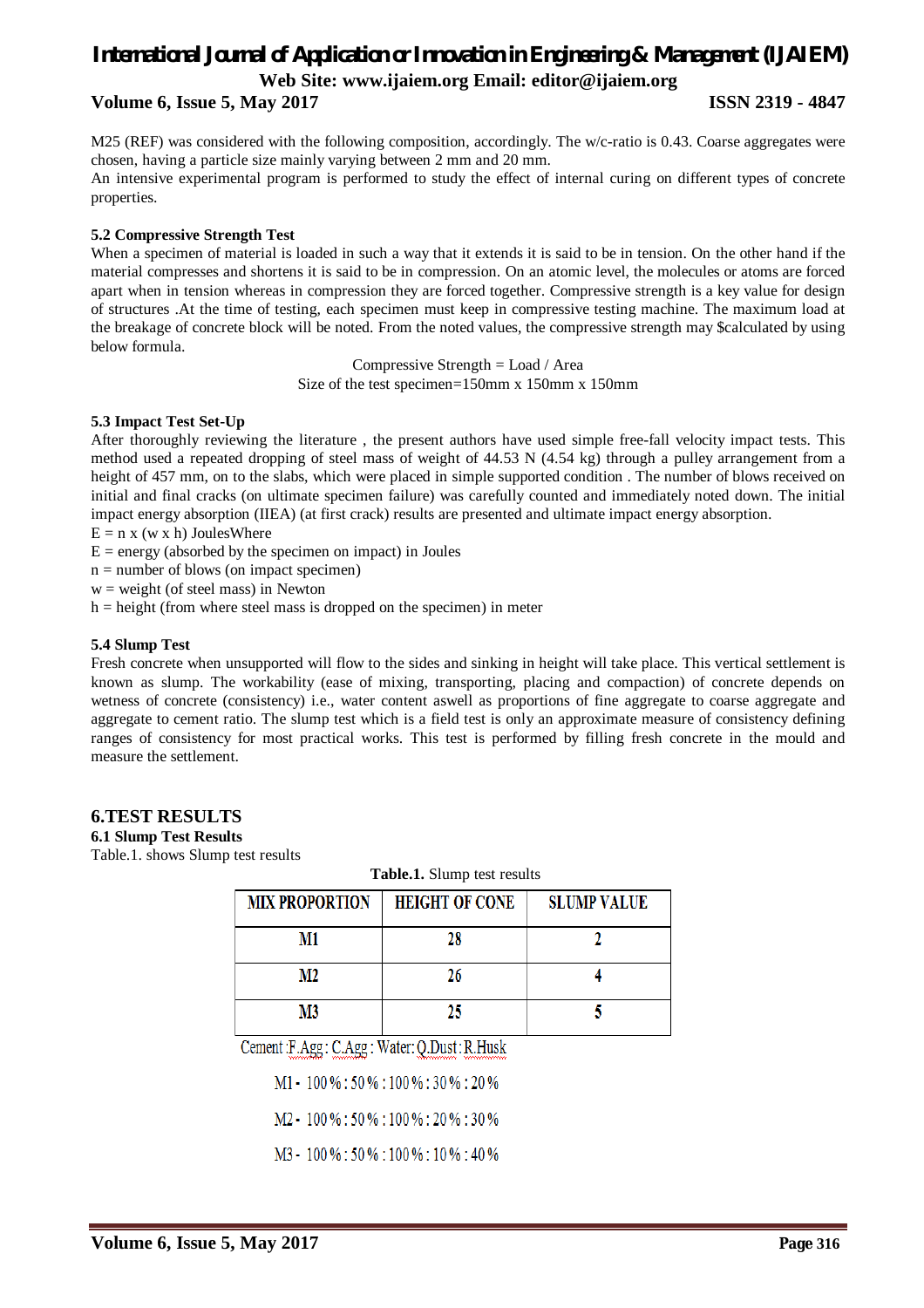#### **Volume 6, Issue 5, May 2017 ISSN 2319 - 4847**

M25 (REF) was considered with the following composition, accordingly. The w/c-ratio is 0.43. Coarse aggregates were chosen, having a particle size mainly varying between 2 mm and 20 mm.

An intensive experimental program is performed to study the effect of internal curing on different types of concrete properties.

#### **5.2 Compressive Strength Test**

When a specimen of material is loaded in such a way that it extends it is said to be in tension. On the other hand if the material compresses and shortens it is said to be in compression. On an atomic level, the molecules or atoms are forced apart when in tension whereas in compression they are forced together. Compressive strength is a key value for design of structures .At the time of testing, each specimen must keep in compressive testing machine. The maximum load at the breakage of concrete block will be noted. From the noted values, the compressive strength may \$calculated by using below formula.

> Compressive Strength = Load / Area Size of the test specimen=150mm x 150mm x 150mm

#### **5.3 Impact Test Set-Up**

After thoroughly reviewing the literature , the present authors have used simple free-fall velocity impact tests. This method used a repeated dropping of steel mass of weight of 44.53 N (4.54 kg) through a pulley arrangement from a height of 457 mm, on to the slabs, which were placed in simple supported condition. The number of blows received on initial and final cracks (on ultimate specimen failure) was carefully counted and immediately noted down. The initial impact energy absorption (IIEA) (at first crack) results are presented and ultimate impact energy absorption.

- $E = n x (w x h)$  JoulesWhere
- $E = energy$  (absorbed by the specimen on impact) in Joules
- $n =$  number of blows (on impact specimen)
- $w = weight$  (of steel mass) in Newton
- $h = height$  (from where steel mass is dropped on the specimen) in meter

#### **5.4 Slump Test**

Fresh concrete when unsupported will flow to the sides and sinking in height will take place. This vertical settlement is known as slump. The workability (ease of mixing, transporting, placing and compaction) of concrete depends on wetness of concrete (consistency) i.e., water content aswell as proportions of fine aggregate to coarse aggregate and aggregate to cement ratio. The slump test which is a field test is only an approximate measure of consistency defining ranges of consistency for most practical works. This test is performed by filling fresh concrete in the mould and measure the settlement.

#### **6.TEST RESULTS**

**6.1 Slump Test Results**

Table.1. shows Slump test results

| <b>Table.1.</b> Slump test results |                       |                    |  |
|------------------------------------|-----------------------|--------------------|--|
| <b>MIX PROPORTION</b>              | <b>HEIGHT OF CONE</b> | <b>SLUMP VALUE</b> |  |
| M1                                 | 28                    |                    |  |
| M2                                 | 26                    |                    |  |
| M3                                 | 25                    |                    |  |

Cement: F.Agg: C.Agg: Water: Q.Dust: R.Husk

 $M1 - 100\% : 50\% : 100\% : 30\% : 20\%$ 

 $M2 - 100\% : 50\% : 100\% : 20\% : 30\%$ 

M3 - 100 % : 50 % : 100 % : 10 % : 40 %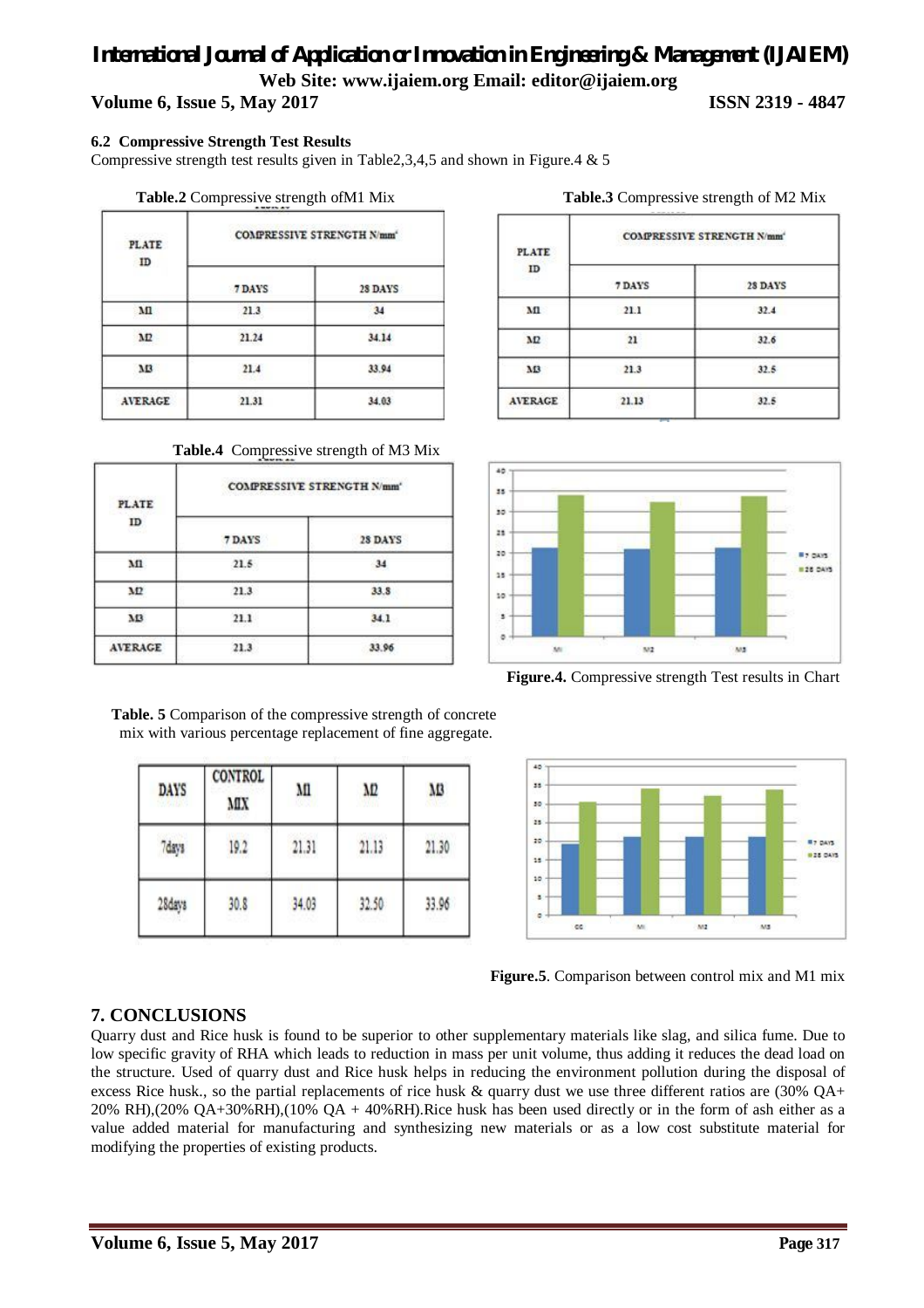## **Volume 6, Issue 5, May 2017 ISSN 2319 - 4847**

#### **6.2 Compressive Strength Test Results**

Compressive strength test results given in Table2,3,4,5 and shown in Figure.4 & 5

#### **Table.2** Compressive strength of M1 Mix

| <b>PLATE</b><br>ID | COMPRESSIVE STRENGTH N/mm |         |  |
|--------------------|---------------------------|---------|--|
|                    | 7 DAYS                    | 28 DAYS |  |
| м                  | 21.3                      | 34      |  |
| M                  | 21.24                     | 34.14   |  |
| M3                 | 21.4                      | 33.94   |  |
| <b>AVERAGE</b>     | 21.31                     | 34.03   |  |

#### **Table.4** Compressive strength of M3 Mix

| <b>PLATE</b><br>ID<br>S 27 I | <b>COMPRESSIVE STRENGTH N/mm<sup>*</sup></b> |         |  |
|------------------------------|----------------------------------------------|---------|--|
|                              | 7 DAYS                                       | 28 DAYS |  |
| м                            | 21.5                                         | 34      |  |
| MΣ                           | 21.3                                         | 33.8    |  |
| M3                           | 21.1                                         | 34.1    |  |
| <b>AVERAGE</b>               | 21.3                                         | 33.96   |  |

| Table.3 Compressive strength of M2 Mix |  |
|----------------------------------------|--|
|                                        |  |

| <b>PLATE</b><br>ID | <b>COMPRESSIVE STRENGTH N/mm'</b> |         |  |
|--------------------|-----------------------------------|---------|--|
|                    | 7 DAYS                            | 28 DAYS |  |
| мı                 | 21.1                              | 32.4    |  |
| M2                 | 21                                | 32.6    |  |
| M3                 | 21.3                              | 32.5    |  |
| <b>AVERAGE</b>     | 21.13                             | 32.5    |  |



 **Figure.4.** Compressive strength Test results in Chart



 **Table. 5** Comparison of the compressive strength of concrete mix with various percentage replacement of fine aggregate.

| <b>DAYS</b><br>755402 | CONTROL<br>MX | M     | ΛD    | MB    |
|-----------------------|---------------|-------|-------|-------|
| 7days                 | 19.2          | 21.31 | 21.13 | 21.30 |
| 28days                | 30.8          | 34.03 | 32.50 | 33.96 |

 **Figure.5**. Comparison between control mix and M1 mix

### **7. CONCLUSIONS**

Quarry dust and Rice husk is found to be superior to other supplementary materials like slag, and silica fume. Due to low specific gravity of RHA which leads to reduction in mass per unit volume, thus adding it reduces the dead load on the structure. Used of quarry dust and Rice husk helps in reducing the environment pollution during the disposal of excess Rice husk., so the partial replacements of rice husk  $\&$  quarry dust we use three different ratios are (30% QA+ 20% RH),(20% QA+30%RH),(10% QA + 40%RH).Rice husk has been used directly or in the form of ash either as a value added material for manufacturing and synthesizing new materials or as a low cost substitute material for modifying the properties of existing products.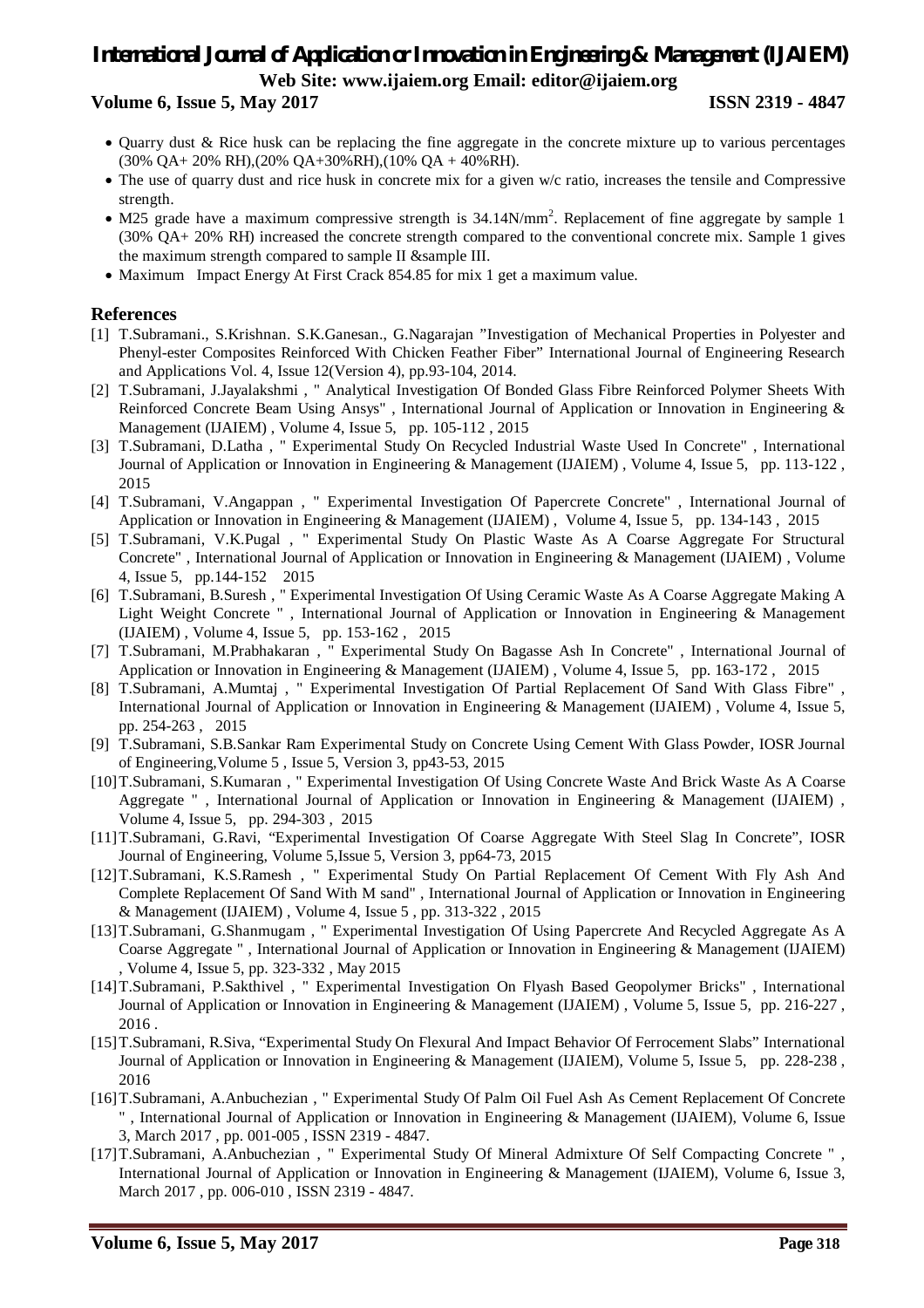## *International Journal of Application or Innovation in Engineering & Management (IJAIEM)* **Web Site: www.ijaiem.org Email: editor@ijaiem.org Volume 6, Issue 5, May 2017 ISSN 2319 - 4847**

- Quarry dust & Rice husk can be replacing the fine aggregate in the concrete mixture up to various percentages (30% QA+ 20% RH),(20% QA+30%RH),(10% QA + 40%RH).
- The use of quarry dust and rice husk in concrete mix for a given w/c ratio, increases the tensile and Compressive strength.
- M25 grade have a maximum compressive strength is 34.14N/mm<sup>2</sup>. Replacement of fine aggregate by sample 1 (30% QA+ 20% RH) increased the concrete strength compared to the conventional concrete mix. Sample 1 gives the maximum strength compared to sample II &sample III.
- Maximum Impact Energy At First Crack 854.85 for mix 1 get a maximum value.

## **References**

- [1] T.Subramani., S.Krishnan. S.K.Ganesan., G.Nagarajan "Investigation of Mechanical Properties in Polyester and Phenyl-ester Composites Reinforced With Chicken Feather Fiber" International Journal of Engineering Research and Applications Vol. 4, Issue 12(Version 4), pp.93-104, 2014.
- [2] T.Subramani, J.Jayalakshmi , " Analytical Investigation Of Bonded Glass Fibre Reinforced Polymer Sheets With Reinforced Concrete Beam Using Ansys" , International Journal of Application or Innovation in Engineering & Management (IJAIEM) , Volume 4, Issue 5, pp. 105-112 , 2015
- [3] T.Subramani, D.Latha , " Experimental Study On Recycled Industrial Waste Used In Concrete" , International Journal of Application or Innovation in Engineering & Management (IJAIEM) , Volume 4, Issue 5, pp. 113-122 , 2015
- [4] T.Subramani, V.Angappan , " Experimental Investigation Of Papercrete Concrete" , International Journal of Application or Innovation in Engineering & Management (IJAIEM) , Volume 4, Issue 5, pp. 134-143 , 2015
- [5] T.Subramani, V.K.Pugal , " Experimental Study On Plastic Waste As A Coarse Aggregate For Structural Concrete" , International Journal of Application or Innovation in Engineering & Management (IJAIEM) , Volume 4, Issue 5, pp.144-152 2015
- [6] T.Subramani, B.Suresh , " Experimental Investigation Of Using Ceramic Waste As A Coarse Aggregate Making A Light Weight Concrete " , International Journal of Application or Innovation in Engineering & Management (IJAIEM) , Volume 4, Issue 5, pp. 153-162 , 2015
- [7] T.Subramani, M.Prabhakaran , " Experimental Study On Bagasse Ash In Concrete" , International Journal of Application or Innovation in Engineering & Management (IJAIEM) , Volume 4, Issue 5, pp. 163-172 , 2015
- [8] T.Subramani, A.Mumtaj , " Experimental Investigation Of Partial Replacement Of Sand With Glass Fibre" , International Journal of Application or Innovation in Engineering & Management (IJAIEM) , Volume 4, Issue 5, pp. 254-263 , 2015
- [9] T.Subramani, S.B.Sankar Ram Experimental Study on Concrete Using Cement With Glass Powder, IOSR Journal of Engineering,Volume 5 , Issue 5, Version 3, pp43-53, 2015
- [10]T.Subramani, S.Kumaran , " Experimental Investigation Of Using Concrete Waste And Brick Waste As A Coarse Aggregate " , International Journal of Application or Innovation in Engineering & Management (IJAIEM) , Volume 4, Issue 5, pp. 294-303 , 2015
- [11]T.Subramani, G.Ravi, "Experimental Investigation Of Coarse Aggregate With Steel Slag In Concrete", IOSR Journal of Engineering, Volume 5,Issue 5, Version 3, pp64-73, 2015
- [12]T.Subramani, K.S.Ramesh , " Experimental Study On Partial Replacement Of Cement With Fly Ash And Complete Replacement Of Sand With M sand" , International Journal of Application or Innovation in Engineering & Management (IJAIEM) , Volume 4, Issue 5 , pp. 313-322 , 2015
- [13]T.Subramani, G.Shanmugam , " Experimental Investigation Of Using Papercrete And Recycled Aggregate As A Coarse Aggregate " , International Journal of Application or Innovation in Engineering & Management (IJAIEM) , Volume 4, Issue 5, pp. 323-332 , May 2015
- [14]T.Subramani, P.Sakthivel , " Experimental Investigation On Flyash Based Geopolymer Bricks" , International Journal of Application or Innovation in Engineering & Management (IJAIEM) , Volume 5, Issue 5, pp. 216-227 , 2016 .
- [15]T.Subramani, R.Siva, "Experimental Study On Flexural And Impact Behavior Of Ferrocement Slabs" International Journal of Application or Innovation in Engineering & Management (IJAIEM), Volume 5, Issue 5, pp. 228-238 , 2016
- [16]T.Subramani, A.Anbuchezian , " Experimental Study Of Palm Oil Fuel Ash As Cement Replacement Of Concrete " , International Journal of Application or Innovation in Engineering & Management (IJAIEM), Volume 6, Issue 3, March 2017 , pp. 001-005 , ISSN 2319 - 4847.
- [17]T.Subramani, A.Anbuchezian , " Experimental Study Of Mineral Admixture Of Self Compacting Concrete " , International Journal of Application or Innovation in Engineering & Management (IJAIEM), Volume 6, Issue 3, March 2017 , pp. 006-010 , ISSN 2319 - 4847.